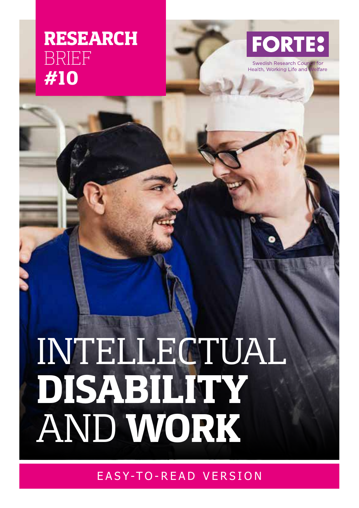# **RESEARCH** BRIEF **#10**



Swedish Research Cou Health, Working Life and elfare

1

# INTELLECTUAL **DISABILITY** AND **WORK**

EASY-TO-READ VERSION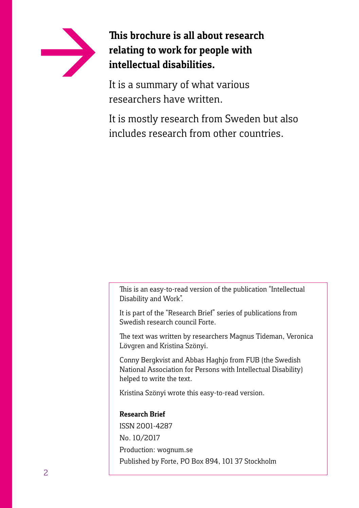

**This brochure is all about research relating to work for people with intellectual disabilities.** 

It is a summary of what various researchers have written.

It is mostly research from Sweden but also includes research from other countries.

This is an easy-to-read version of the publication "Intellectual Disability and Work".

It is part of the "Research Brief" series of publications from Swedish research council Forte.

The text was written by researchers Magnus Tideman, Veronica Lövgren and Kristina Szönyi.

Conny Bergkvist and Abbas Haghjo from FUB (the Swedish National Association for Persons with Intellectual Disability) helped to write the text.

Kristina Szönyi wrote this easy-to-read version.

#### **Research Brief**

ISSN 2001-4287 No. 10/2017 Production: wognum.se Published by Forte, PO Box 894, 101 37 Stockholm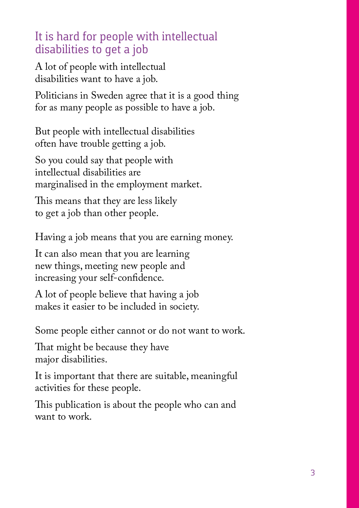# It is hard for people with intellectual disabilities to get a job

A lot of people with intellectual disabilities want to have a job.

Politicians in Sweden agree that it is a good thing for as many people as possible to have a job.

But people with intellectual disabilities often have trouble getting a job.

So you could say that people with intellectual disabilities are marginalised in the employment market.

This means that they are less likely to get a job than other people.

Having a job means that you are earning money.

It can also mean that you are learning new things, meeting new people and increasing your self-confidence.

A lot of people believe that having a job makes it easier to be included in society.

Some people either cannot or do not want to work.

That might be because they have major disabilities.

It is important that there are suitable, meaningful activities for these people.

This publication is about the people who can and want to work.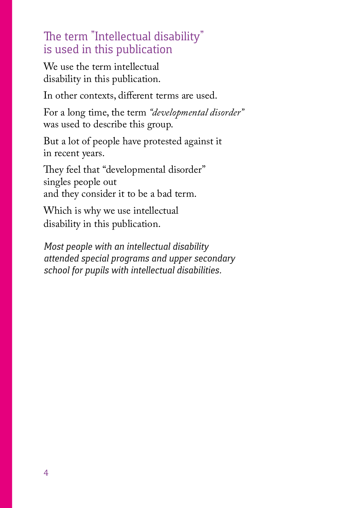### The term "Intellectual disability" is used in this publication

We use the term intellectual disability in this publication.

In other contexts, different terms are used.

For a long time, the term *"developmental disorder"*  was used to describe this group.

But a lot of people have protested against it in recent years.

They feel that "developmental disorder" singles people out and they consider it to be a bad term.

Which is why we use intellectual disability in this publication.

*Most people with an intellectual disability attended special programs and upper secondary school for pupils with intellectual disabilities.*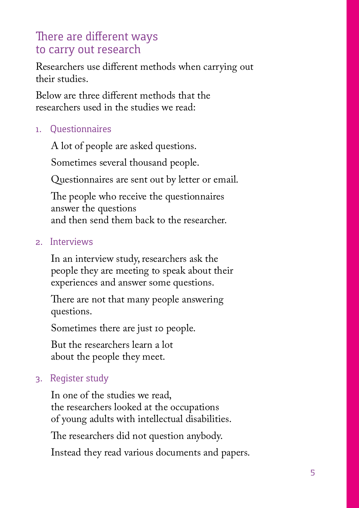# There are different ways to carry out research

Researchers use different methods when carrying out their studies.

Below are three different methods that the researchers used in the studies we read:

#### 1. Questionnaires

A lot of people are asked questions.

Sometimes several thousand people.

Questionnaires are sent out by letter or email.

The people who receive the questionnaires answer the questions and then send them back to the researcher.

#### 2. Interviews

In an interview study, researchers ask the people they are meeting to speak about their experiences and answer some questions.

There are not that many people answering questions.

Sometimes there are just 10 people.

But the researchers learn a lot about the people they meet.

#### 3. Register study

In one of the studies we read, the researchers looked at the occupations of young adults with intellectual disabilities.

The researchers did not question anybody.

Instead they read various documents and papers.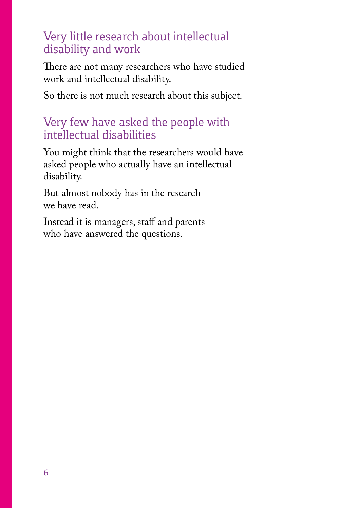#### Very little research about intellectual disability and work

There are not many researchers who have studied work and intellectual disability.

So there is not much research about this subject.

### Very few have asked the people with intellectual disabilities

You might think that the researchers would have asked people who actually have an intellectual disability.

But almost nobody has in the research we have read.

Instead it is managers, staff and parents who have answered the questions.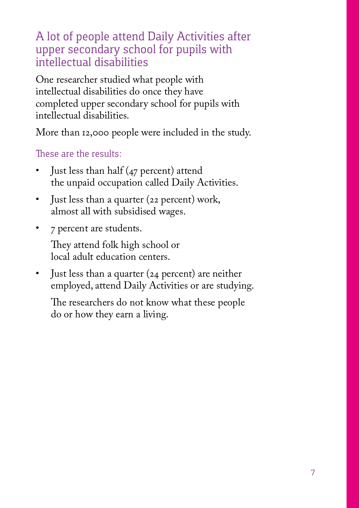A lot of people attend Daily Activities after upper secondary school for pupils with intellectual disabilities

One researcher studied what people with intellectual disabilities do once they have completed upper secondary school for pupils with intellectual disabilities.

More than 12,000 people were included in the study.

#### These are the results:

- Just less than half (47 percent) attend the unpaid occupation called Daily Activities.
- Just less than a quarter (22 percent) work, almost all with subsidised wages.
- 7 percent are students.

They attend folk high school or local adult education centers.

• Just less than a quarter (24 percent) are neither employed, attend Daily Activities or are studying.

The researchers do not know what these people do or how they earn a living.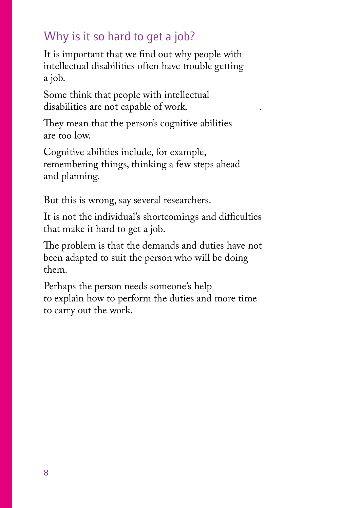# Why is it so hard to get a job?

It is important that we find out why people with intellectual disabilities often have trouble getting a job.

Some think that people with intellectual disabilities are not capable of work.

They mean that the person's cognitive abilities are too low.

Cognitive abilities include, for example, remembering things, thinking a few steps ahead and planning.

But this is wrong, say several researchers.

It is not the individual's shortcomings and difficulties that make it hard to get a job.

The problem is that the demands and duties have not been adapted to suit the person who will be doing them.

Perhaps the person needs someone's help to explain how to perform the duties and more time to carry out the work.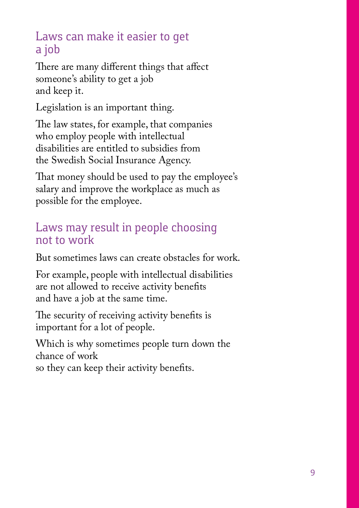# Laws can make it easier to get a job

There are many different things that affect someone's ability to get a job and keep it.

Legislation is an important thing.

The law states, for example, that companies who employ people with intellectual disabilities are entitled to subsidies from the Swedish Social Insurance Agency.

That money should be used to pay the employee's salary and improve the workplace as much as possible for the employee.

# Laws may result in people choosing not to work

But sometimes laws can create obstacles for work.

For example, people with intellectual disabilities are not allowed to receive activity benefits and have a job at the same time.

The security of receiving activity benefits is important for a lot of people.

Which is why sometimes people turn down the chance of work

so they can keep their activity benefits.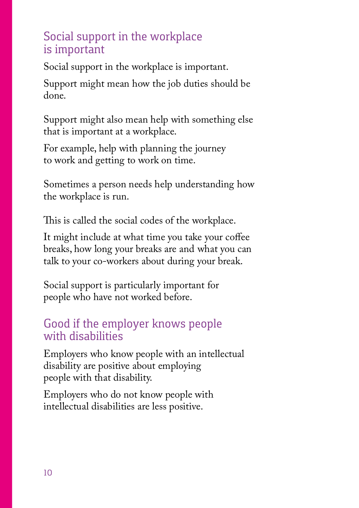# Social support in the workplace is important

Social support in the workplace is important.

Support might mean how the job duties should be done.

Support might also mean help with something else that is important at a workplace.

For example, help with planning the journey to work and getting to work on time.

Sometimes a person needs help understanding how the workplace is run.

This is called the social codes of the workplace.

It might include at what time you take your coffee breaks, how long your breaks are and what you can talk to your co-workers about during your break.

Social support is particularly important for people who have not worked before.

# Good if the employer knows people with disabilities

Employers who know people with an intellectual disability are positive about employing people with that disability.

Employers who do not know people with intellectual disabilities are less positive.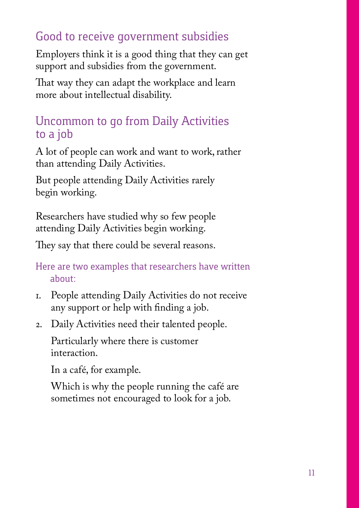# Good to receive government subsidies

Employers think it is a good thing that they can get support and subsidies from the government.

That way they can adapt the workplace and learn more about intellectual disability.

## Uncommon to go from Daily Activities to a job

A lot of people can work and want to work, rather than attending Daily Activities.

But people attending Daily Activities rarely begin working.

Researchers have studied why so few people attending Daily Activities begin working.

They say that there could be several reasons.

Here are two examples that researchers have written about:

- 1. People attending Daily Activities do not receive any support or help with finding a job.
- 2. Daily Activities need their talented people.

Particularly where there is customer interaction.

In a café, for example.

Which is why the people running the café are sometimes not encouraged to look for a job.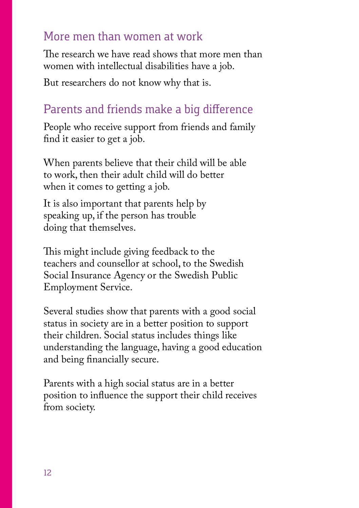#### More men than women at work

The research we have read shows that more men than women with intellectual disabilities have a job.

But researchers do not know why that is.

# Parents and friends make a big difference

People who receive support from friends and family find it easier to get a job.

When parents believe that their child will be able to work, then their adult child will do better when it comes to getting a job.

It is also important that parents help by speaking up, if the person has trouble doing that themselves.

This might include giving feedback to the teachers and counsellor at school, to the Swedish Social Insurance Agency or the Swedish Public Employment Service.

Several studies show that parents with a good social status in society are in a better position to support their children. Social status includes things like understanding the language, having a good education and being financially secure.

Parents with a high social status are in a better position to influence the support their child receives from society.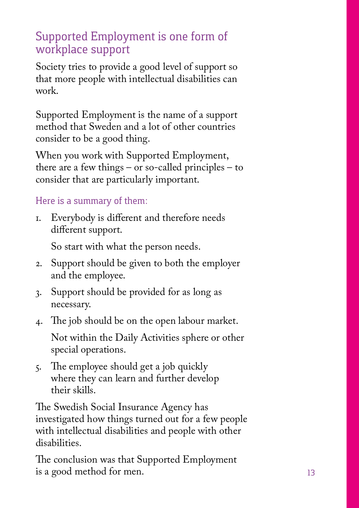# Supported Employment is one form of workplace support

Society tries to provide a good level of support so that more people with intellectual disabilities can work.

Supported Employment is the name of a support method that Sweden and a lot of other countries consider to be a good thing.

When you work with Supported Employment, there are a few things – or so-called principles – to consider that are particularly important.

#### Here is a summary of them:

1. Everybody is different and therefore needs different support.

So start with what the person needs.

- 2. Support should be given to both the employer and the employee.
- 3. Support should be provided for as long as necessary.
- 4. The job should be on the open labour market.

Not within the Daily Activities sphere or other special operations.

5. The employee should get a job quickly where they can learn and further develop their skills.

The Swedish Social Insurance Agency has investigated how things turned out for a few people with intellectual disabilities and people with other disabilities.

The conclusion was that Supported Employment is a good method for men.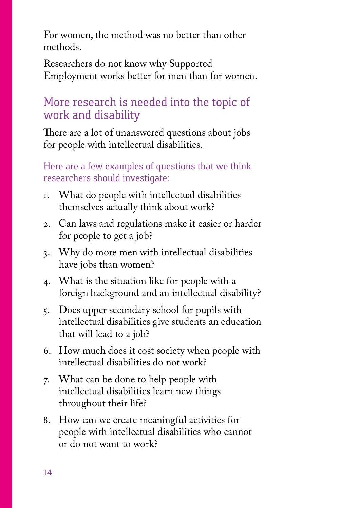For women, the method was no better than other methods.

Researchers do not know why Supported Employment works better for men than for women.

### More research is needed into the topic of work and disability

There are a lot of unanswered questions about jobs for people with intellectual disabilities.

Here are a few examples of questions that we think researchers should investigate:

- 1. What do people with intellectual disabilities themselves actually think about work?
- 2. Can laws and regulations make it easier or harder for people to get a job?
- 3. Why do more men with intellectual disabilities have jobs than women?
- 4. What is the situation like for people with a foreign background and an intellectual disability?
- 5. Does upper secondary school for pupils with intellectual disabilities give students an education that will lead to a job?
- 6. How much does it cost society when people with intellectual disabilities do not work?
- 7. What can be done to help people with intellectual disabilities learn new things throughout their life?
- 8. How can we create meaningful activities for people with intellectual disabilities who cannot or do not want to work?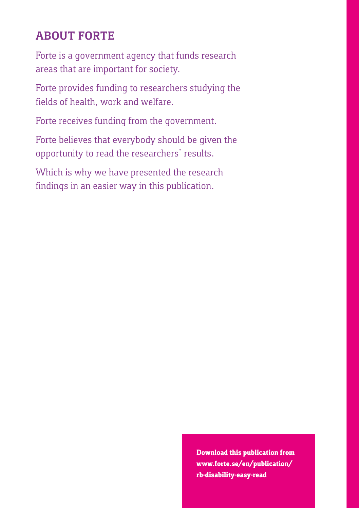# **ABOUT FORTE**

Forte is a government agency that funds research areas that are important for society.

Forte provides funding to researchers studying the fields of health, work and welfare.

Forte receives funding from the government.

Forte believes that everybody should be given the opportunity to read the researchers' results.

Which is why we have presented the research findings in an easier way in this publication.

> **Download this publication from www.forte.se/en/publication/ rb-disability-easy-read**